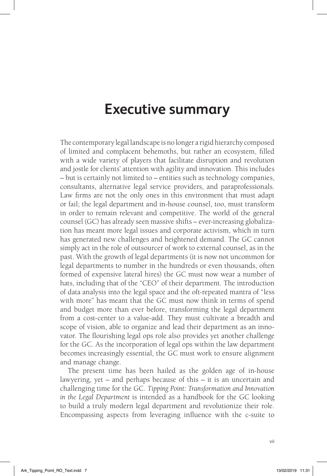## **Executive summary**

The contemporary legal landscape is no longer a rigid hierarchy composed of limited and complacent behemoths, but rather an ecosystem, filled with a wide variety of players that facilitate disruption and revolution and jostle for clients' attention with agility and innovation. This includes – but is certainly not limited to – entities such as technology companies, consultants, alternative legal service providers, and paraprofessionals. Law firms are not the only ones in this environment that must adapt or fail; the legal department and in-house counsel, too, must transform in order to remain relevant and competitive. The world of the general counsel (GC) has already seen massive shifts – ever-increasing globalization has meant more legal issues and corporate activism, which in turn has generated new challenges and heightened demand. The GC cannot simply act in the role of outsourcer of work to external counsel, as in the past. With the growth of legal departments (it is now not uncommon for legal departments to number in the hundreds or even thousands, often formed of expensive lateral hires) the GC must now wear a number of hats, including that of the "CEO" of their department. The introduction of data analysis into the legal space and the oft-repeated mantra of "less with more" has meant that the GC must now think in terms of spend and budget more than ever before, transforming the legal department from a cost-center to a value-add. They must cultivate a breadth and scope of vision, able to organize and lead their department as an innovator. The flourishing legal ops role also provides yet another challenge for the GC. As the incorporation of legal ops within the law department becomes increasingly essential, the GC must work to ensure alignment and manage change.

The present time has been hailed as the golden age of in-house lawyering, yet – and perhaps because of this – it is an uncertain and challenging time for the GC. *Tipping Point: Transformation and Innovation in the Legal Department* is intended as a handbook for the GC looking to build a truly modern legal department and revolutionize their role. Encompassing aspects from leveraging influence with the c-suite to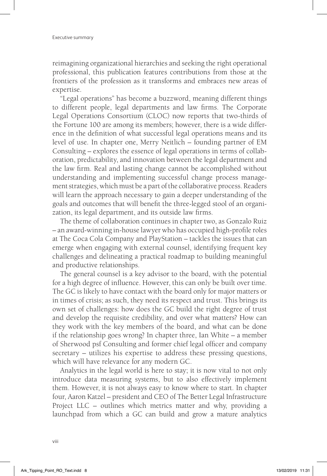reimagining organizational hierarchies and seeking the right operational professional, this publication features contributions from those at the frontiers of the profession as it transforms and embraces new areas of expertise.

"Legal operations" has become a buzzword, meaning different things to different people, legal departments and law firms. The Corporate Legal Operations Consortium (CLOC) now reports that two-thirds of the Fortune 100 are among its members; however, there is a wide difference in the definition of what successful legal operations means and its level of use. In chapter one, Merry Neitlich – founding partner of EM Consulting – explores the essence of legal operations in terms of collaboration, predictability, and innovation between the legal department and the law firm. Real and lasting change cannot be accomplished without understanding and implementing successful change process management strategies, which must be a part of the collaborative process. Readers will learn the approach necessary to gain a deeper understanding of the goals and outcomes that will benefit the three-legged stool of an organization, its legal department, and its outside law firms.

The theme of collaboration continues in chapter two, as Gonzalo Ruiz – an award-winning in-house lawyer who has occupied high-profile roles at The Coca Cola Company and PlayStation – tackles the issues that can emerge when engaging with external counsel, identifying frequent key challenges and delineating a practical roadmap to building meaningful and productive relationships.

The general counsel is a key advisor to the board, with the potential for a high degree of influence. However, this can only be built over time. The GC is likely to have contact with the board only for major matters or in times of crisis; as such, they need its respect and trust. This brings its own set of challenges: how does the GC build the right degree of trust and develop the requisite credibility, and over what matters? How can they work with the key members of the board, and what can be done if the relationship goes wrong? In chapter three, Ian White – a member of Sherwood psf Consulting and former chief legal officer and company secretary – utilizes his expertise to address these pressing questions, which will have relevance for any modern GC.

Analytics in the legal world is here to stay; it is now vital to not only introduce data measuring systems, but to also effectively implement them. However, it is not always easy to know where to start. In chapter four, Aaron Katzel – president and CEO of The Better Legal Infrastructure Project LLC – outlines which metrics matter and why, providing a launchpad from which a GC can build and grow a mature analytics

viii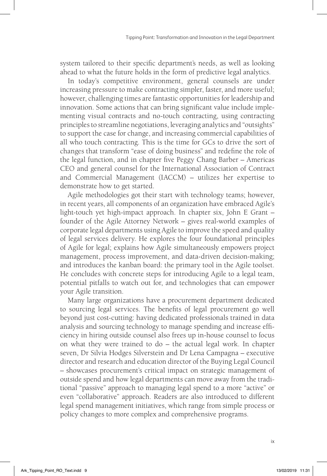system tailored to their specific department's needs, as well as looking ahead to what the future holds in the form of predictive legal analytics.

In today's competitive environment, general counsels are under increasing pressure to make contracting simpler, faster, and more useful; however, challenging times are fantastic opportunities for leadership and innovation. Some actions that can bring significant value include implementing visual contracts and no-touch contracting, using contracting principles to streamline negotiations, leveraging analytics and "outsights" to support the case for change, and increasing commercial capabilities of all who touch contracting. This is the time for GCs to drive the sort of changes that transform "ease of doing business" and redefine the role of the legal function, and in chapter five Peggy Chang Barber – Americas CEO and general counsel for the International Association of Contract and Commercial Management (IACCM) – utilizes her expertise to demonstrate how to get started.

Agile methodologies got their start with technology teams; however, in recent years, all components of an organization have embraced Agile's light-touch yet high-impact approach. In chapter six, John E Grant – founder of the Agile Attorney Network – gives real-world examples of corporate legal departments using Agile to improve the speed and quality of legal services delivery. He explores the four foundational principles of Agile for legal; explains how Agile simultaneously empowers project management, process improvement, and data-driven decision-making; and introduces the kanban board: the primary tool in the Agile toolset. He concludes with concrete steps for introducing Agile to a legal team, potential pitfalls to watch out for, and technologies that can empower your Agile transition.

Many large organizations have a procurement department dedicated to sourcing legal services. The benefits of legal procurement go well beyond just cost-cutting: having dedicated professionals trained in data analysis and sourcing technology to manage spending and increase efficiency in hiring outside counsel also frees up in-house counsel to focus on what they were trained to do – the actual legal work. In chapter seven, Dr Silvia Hodges Silverstein and Dr Lena Campagna – executive director and research and education director of the Buying Legal Council – showcases procurement's critical impact on strategic management of outside spend and how legal departments can move away from the traditional "passive" approach to managing legal spend to a more "active" or even "collaborative" approach. Readers are also introduced to different legal spend management initiatives, which range from simple process or policy changes to more complex and comprehensive programs.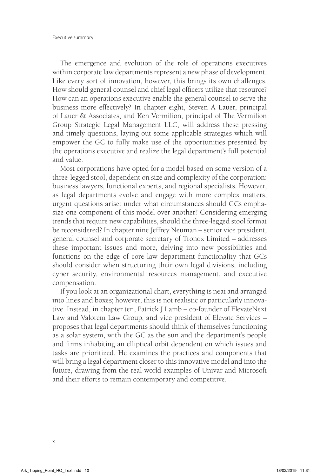The emergence and evolution of the role of operations executives within corporate law departments represent a new phase of development. Like every sort of innovation, however, this brings its own challenges. How should general counsel and chief legal officers utilize that resource? How can an operations executive enable the general counsel to serve the business more effectively? In chapter eight, Steven A Lauer, principal of Lauer & Associates, and Ken Vermilion, principal of The Vermilion Group Strategic Legal Management LLC, will address these pressing and timely questions, laying out some applicable strategies which will empower the GC to fully make use of the opportunities presented by the operations executive and realize the legal department's full potential and value.

Most corporations have opted for a model based on some version of a three-legged stool, dependent on size and complexity of the corporation: business lawyers, functional experts, and regional specialists. However, as legal departments evolve and engage with more complex matters, urgent questions arise: under what circumstances should GCs emphasize one component of this model over another? Considering emerging trends that require new capabilities, should the three-legged stool format be reconsidered? In chapter nine Jeffrey Neuman – senior vice president, general counsel and corporate secretary of Tronox Limited – addresses these important issues and more, delving into new possibilities and functions on the edge of core law department functionality that GCs should consider when structuring their own legal divisions, including cyber security, environmental resources management, and executive compensation.

If you look at an organizational chart, everything is neat and arranged into lines and boxes; however, this is not realistic or particularly innovative. Instead, in chapter ten, Patrick J Lamb – co-founder of ElevateNext Law and Valorem Law Group, and vice president of Elevate Services – proposes that legal departments should think of themselves functioning as a solar system, with the GC as the sun and the department's people and firms inhabiting an elliptical orbit dependent on which issues and tasks are prioritized. He examines the practices and components that will bring a legal department closer to this innovative model and into the future, drawing from the real-world examples of Univar and Microsoft and their efforts to remain contemporary and competitive.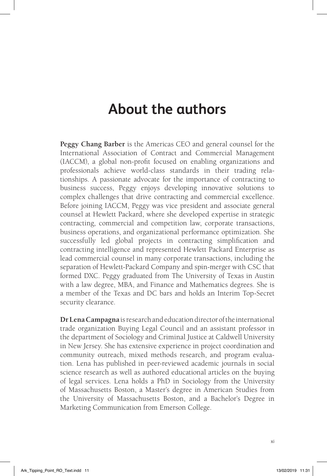## **About the authors**

**Peggy Chang Barber** is the Americas CEO and general counsel for the International Association of Contract and Commercial Management (IACCM), a global non-profit focused on enabling organizations and professionals achieve world-class standards in their trading relationships. A passionate advocate for the importance of contracting to business success, Peggy enjoys developing innovative solutions to complex challenges that drive contracting and commercial excellence. Before joining IACCM, Peggy was vice president and associate general counsel at Hewlett Packard, where she developed expertise in strategic contracting, commercial and competition law, corporate transactions, business operations, and organizational performance optimization. She successfully led global projects in contracting simplification and contracting intelligence and represented Hewlett Packard Enterprise as lead commercial counsel in many corporate transactions, including the separation of Hewlett-Packard Company and spin-merger with CSC that formed DXC. Peggy graduated from The University of Texas in Austin with a law degree, MBA, and Finance and Mathematics degrees. She is a member of the Texas and DC bars and holds an Interim Top-Secret security clearance.

**Dr Lena Campagna** is research and education director of the international trade organization Buying Legal Council and an assistant professor in the department of Sociology and Criminal Justice at Caldwell University in New Jersey. She has extensive experience in project coordination and community outreach, mixed methods research, and program evaluation. Lena has published in peer-reviewed academic journals in social science research as well as authored educational articles on the buying of legal services. Lena holds a PhD in Sociology from the University of Massachusetts Boston, a Master's degree in American Studies from the University of Massachusetts Boston, and a Bachelor's Degree in Marketing Communication from Emerson College.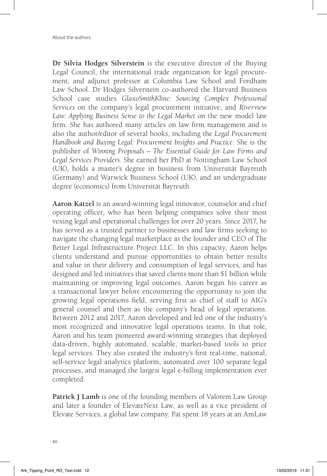**Dr Silvia Hodges Silverstein** is the executive director of the Buying Legal Council, the international trade organization for legal procurement, and adjunct professor at Columbia Law School and Fordham Law School. Dr Hodges Silverstein co-authored the Harvard Business School case studies *GlaxoSmithKline: Sourcing Complex Professional Services* on the company's legal procurement initiative, and *Riverview Law: Applying Business Sense to the Legal Market* on the new model law firm. She has authored many articles on law firm management and is also the author/editor of several books, including the *Legal Procurement Handbook and Buying Legal: Procurement Insights and Practice*. She is the publisher of *Winning Proposals – The Essential Guide for Law Firms and Legal Services Providers*. She earned her PhD at Nottingham Law School (UK), holds a master's degree in business from Universität Bayreuth (Germany) and Warwick Business School (UK), and an undergraduate degree (economics) from Universität Bayreuth.

**Aaron Katzel** is an award-winning legal innovator, counselor and chief operating officer, who has been helping companies solve their most vexing legal and operational challenges for over 20 years. Since 2017, he has served as a trusted partner to businesses and law firms seeking to navigate the changing legal marketplace as the founder and CEO of The Better Legal Infrastructure Project LLC. In this capacity, Aaron helps clients understand and pursue opportunities to obtain better results and value in their delivery and consumption of legal services, and has designed and led initiatives that saved clients more than \$1 billion while maintaining or improving legal outcomes. Aaron began his career as a transactional lawyer before encountering the opportunity to join the growing legal operations field, serving first as chief of staff to AIG's general counsel and then as the company's head of legal operations. Between 2012 and 2017, Aaron developed and led one of the industry's most recognized and innovative legal operations teams. In that role, Aaron and his team pioneered award-winning strategies that deployed data-driven, highly automated, scalable, market-based tools to price legal services. They also created the industry's first real-time, national, self-service legal analytics platform, automated over 100 separate legal processes, and managed the largest legal e-billing implementation ever completed.

**Patrick J Lamb** is one of the founding members of Valorem Law Group and later a founder of ElevateNext Law, as well as a vice president of Elevate Services, a global law company. Pat spent 18 years at an AmLaw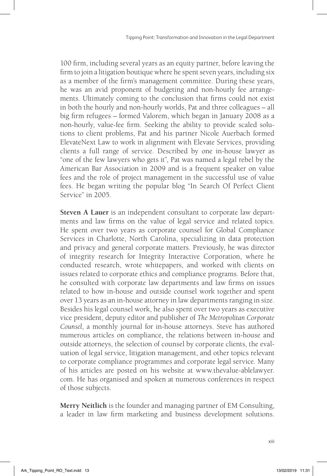100 firm, including several years as an equity partner, before leaving the firm to join a litigation boutique where he spent seven years, including six as a member of the firm's management committee. During these years, he was an avid proponent of budgeting and non-hourly fee arrangements. Ultimately coming to the conclusion that firms could not exist in both the hourly and non-hourly worlds, Pat and three colleagues – all big firm refugees – formed Valorem, which began in January 2008 as a non-hourly, value-fee firm. Seeking the ability to provide scaled solutions to client problems, Pat and his partner Nicole Auerbach formed ElevateNext Law to work in alignment with Elevate Services, providing clients a full range of service. Described by one in-house lawyer as "one of the few lawyers who gets it", Pat was named a legal rebel by the American Bar Association in 2009 and is a frequent speaker on value fees and the role of project management in the successful use of value fees. He began writing the popular blog "In Search Of Perfect Client Service" in 2005.

**Steven A Lauer** is an independent consultant to corporate law departments and law firms on the value of legal service and related topics. He spent over two years as corporate counsel for Global Compliance Services in Charlotte, North Carolina, specializing in data protection and privacy and general corporate matters. Previously, he was director of integrity research for Integrity Interactive Corporation, where he conducted research, wrote whitepapers, and worked with clients on issues related to corporate ethics and compliance programs. Before that, he consulted with corporate law departments and law firms on issues related to how in-house and outside counsel work together and spent over 13 years as an in-house attorney in law departments ranging in size. Besides his legal counsel work, he also spent over two years as executive vice president, deputy editor and publisher of *The Metropolitan Corporate Counsel*, a monthly journal for in-house attorneys. Steve has authored numerous articles on compliance, the relations between in-house and outside attorneys, the selection of counsel by corporate clients, the evaluation of legal service, litigation management, and other topics relevant to corporate compliance programmes and corporate legal service. Many of his articles are posted on his website at www.thevalue-ablelawyer. com. He has organised and spoken at numerous conferences in respect of those subjects.

**Merry Neitlich** is the founder and managing partner of EM Consulting, a leader in law firm marketing and business development solutions.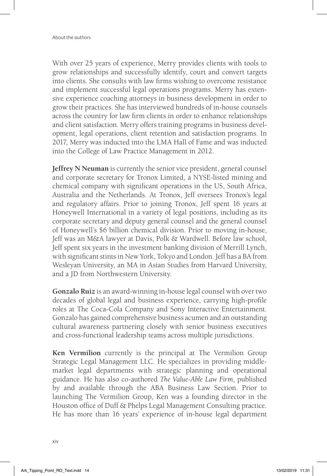With over 25 years of experience, Merry provides clients with tools to grow relationships and successfully identify, court and convert targets into clients. She consults with law firms wishing to overcome resistance and implement successful legal operations programs. Merry has extensive experience coaching attorneys in business development in order to grow their practices. She has interviewed hundreds of in-house counsels across the country for law firm clients in order to enhance relationships and client satisfaction. Merry offers training programs in business development, legal operations, client retention and satisfaction programs. In 2017, Merry was inducted into the LMA Hall of Fame and was inducted into the College of Law Practice Management in 2012.

**Jeffrey N Neuman** is currently the senior vice president, general counsel and corporate secretary for Tronox Limited, a NYSE-listed mining and chemical company with significant operations in the US, South Africa, Australia and the Netherlands. At Tronox, Jeff oversees Tronox's legal and regulatory affairs. Prior to joining Tronox, Jeff spent 16 years at Honeywell International in a variety of legal positions, including as its corporate secretary and deputy general counsel and the general counsel of Honeywell's \$6 billion chemical division. Prior to moving in-house, Jeff was an M&A lawyer at Davis, Polk & Wardwell. Before law school, Jeff spent six years in the investment banking division of Merrill Lynch, with significant stints in New York, Tokyo and London. Jeff has a BA from Wesleyan University, an MA in Asian Studies from Harvard University, and a JD from Northwestern University.

**Gonzalo Ruiz** is an award-winning in-house legal counsel with over two decades of global legal and business experience, carrying high-profile roles at The Coca-Cola Company and Sony Interactive Entertainment. Gonzalo has gained comprehensive business acumen and an outstanding cultural awareness partnering closely with senior business executives and cross-functional leadership teams across multiple jurisdictions.

**Ken Vermilion** currently is the principal at The Vermilion Group Strategic Legal Management LLC. He specializes in providing middlemarket legal departments with strategic planning and operational guidance. He has also co-authored *The Value-Able Law Firm*, published by and available through the ABA Business Law Section. Prior to launching The Vermilion Group, Ken was a founding director in the Houston office of Duff & Phelps Legal Management Consulting practice. He has more than 16 years' experience of in-house legal department

xiv